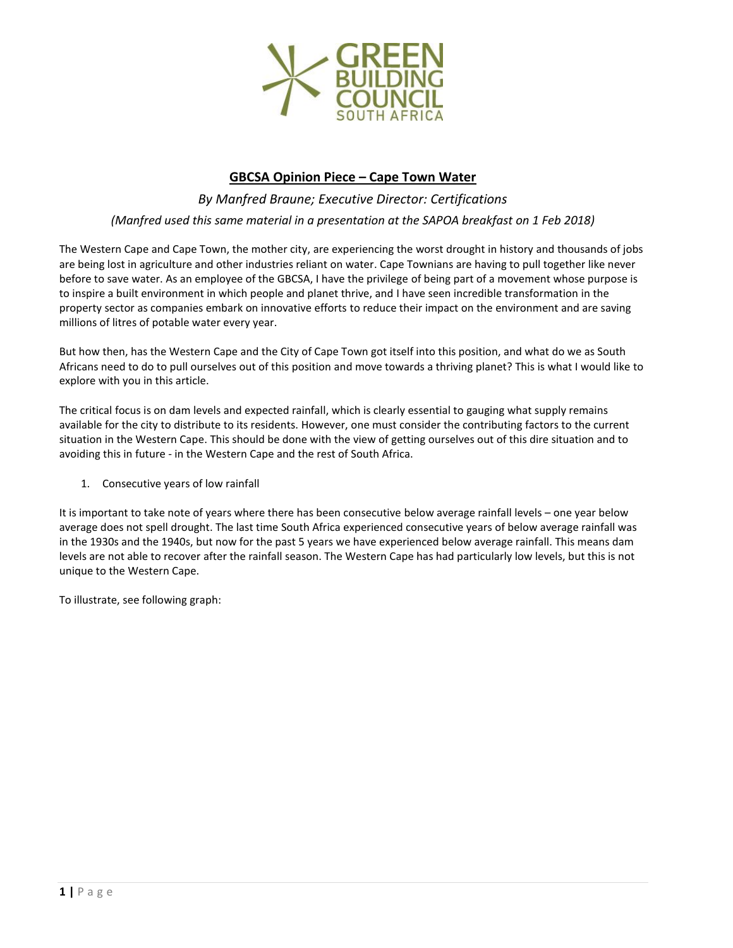

# **GBCSA Opinion Piece – Cape Town Water**

*By Manfred Braune; Executive Director: Certifications (Manfred used this same material in a presentation at the SAPOA breakfast on 1 Feb 2018)*

The Western Cape and Cape Town, the mother city, are experiencing the worst drought in history and thousands of jobs are being lost in agriculture and other industries reliant on water. Cape Townians are having to pull together like never before to save water. As an employee of the GBCSA, I have the privilege of being part of a movement whose purpose is to inspire a built environment in which people and planet thrive, and I have seen incredible transformation in the property sector as companies embark on innovative efforts to reduce their impact on the environment and are saving millions of litres of potable water every year.

But how then, has the Western Cape and the City of Cape Town got itself into this position, and what do we as South Africans need to do to pull ourselves out of this position and move towards a thriving planet? This is what I would like to explore with you in this article.

The critical focus is on dam levels and expected rainfall, which is clearly essential to gauging what supply remains available for the city to distribute to its residents. However, one must consider the contributing factors to the current situation in the Western Cape. This should be done with the view of getting ourselves out of this dire situation and to avoiding this in future - in the Western Cape and the rest of South Africa.

1. Consecutive years of low rainfall

It is important to take note of years where there has been consecutive below average rainfall levels – one year below average does not spell drought. The last time South Africa experienced consecutive years of below average rainfall was in the 1930s and the 1940s, but now for the past 5 years we have experienced below average rainfall. This means dam levels are not able to recover after the rainfall season. The Western Cape has had particularly low levels, but this is not unique to the Western Cape.

To illustrate, see following graph: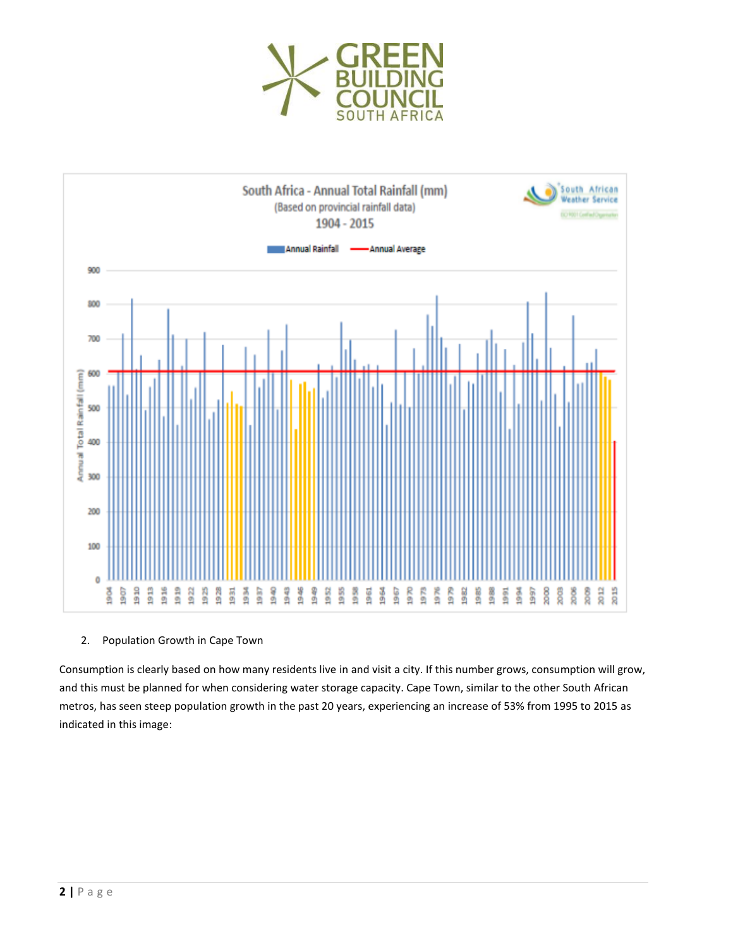



2. Population Growth in Cape Town

Consumption is clearly based on how many residents live in and visit a city. If this number grows, consumption will grow, and this must be planned for when considering water storage capacity. Cape Town, similar to the other South African metros, has seen steep population growth in the past 20 years, experiencing an increase of 53% from 1995 to 2015 as indicated in this image: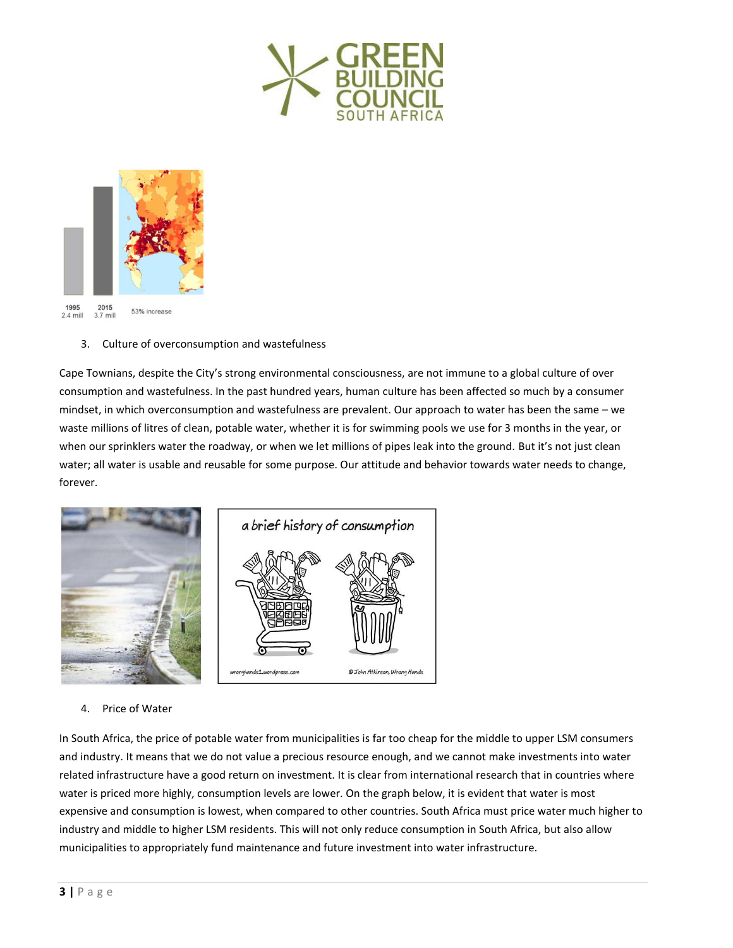



# 3. Culture of overconsumption and wastefulness

Cape Townians, despite the City's strong environmental consciousness, are not immune to a global culture of over consumption and wastefulness. In the past hundred years, human culture has been affected so much by a consumer mindset, in which overconsumption and wastefulness are prevalent. Our approach to water has been the same – we waste millions of litres of clean, potable water, whether it is for swimming pools we use for 3 months in the year, or when our sprinklers water the roadway, or when we let millions of pipes leak into the ground. But it's not just clean water; all water is usable and reusable for some purpose. Our attitude and behavior towards water needs to change, forever.



# 4. Price of Water

In South Africa, the price of potable water from municipalities is far too cheap for the middle to upper LSM consumers and industry. It means that we do not value a precious resource enough, and we cannot make investments into water related infrastructure have a good return on investment. It is clear from international research that in countries where water is priced more highly, consumption levels are lower. On the graph below, it is evident that water is most expensive and consumption is lowest, when compared to other countries. South Africa must price water much higher to industry and middle to higher LSM residents. This will not only reduce consumption in South Africa, but also allow municipalities to appropriately fund maintenance and future investment into water infrastructure.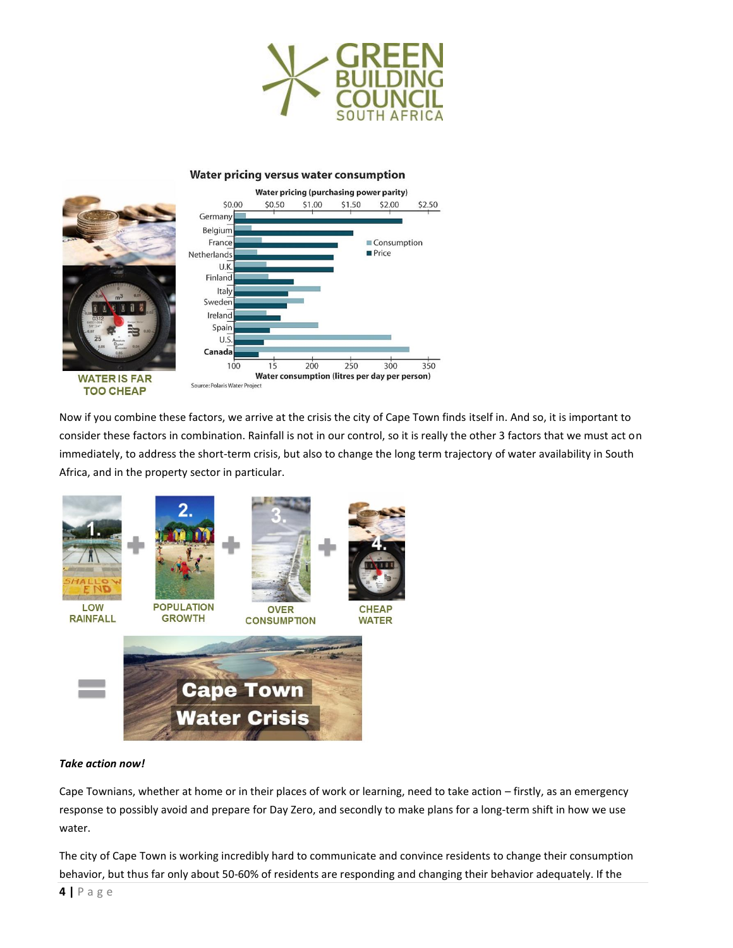

### Water pricing versus water consumption



Now if you combine these factors, we arrive at the crisis the city of Cape Town finds itself in. And so, it is important to consider these factors in combination. Rainfall is not in our control, so it is really the other 3 factors that we must act on immediately, to address the short-term crisis, but also to change the long term trajectory of water availability in South Africa, and in the property sector in particular.



#### *Take action now!*

Cape Townians, whether at home or in their places of work or learning, need to take action – firstly, as an emergency response to possibly avoid and prepare for Day Zero, and secondly to make plans for a long-term shift in how we use water.

The city of Cape Town is working incredibly hard to communicate and convince residents to change their consumption behavior, but thus far only about 50-60% of residents are responding and changing their behavior adequately. If the